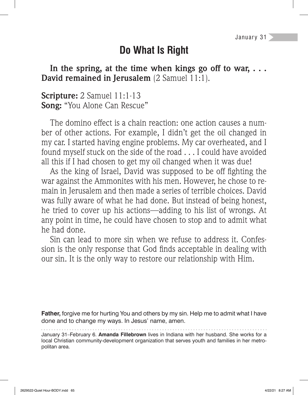## **Do What Is Right**

In the spring, at the time when kings go off to war,  $\dots$ **David remained in Jerusalem** (2 Samuel 11:1).

**Scripture:** 2 Samuel 11:1-13 **Song:** "You Alone Can Rescue"

The domino effect is a chain reaction: one action causes a number of other actions. For example, I didn't get the oil changed in my car. I started having engine problems. My car overheated, and I found myself stuck on the side of the road . . . I could have avoided all this if I had chosen to get my oil changed when it was due!

As the king of Israel, David was supposed to be off fighting the war against the Ammonites with his men. However, he chose to remain in Jerusalem and then made a series of terrible choices. David was fully aware of what he had done. But instead of being honest, he tried to cover up his actions—adding to his list of wrongs. At any point in time, he could have chosen to stop and to admit what he had done.

Sin can lead to more sin when we refuse to address it. Confession is the only response that God finds acceptable in dealing with our sin. It is the only way to restore our relationship with Him.

**Father,** forgive me for hurting You and others by my sin. Help me to admit what I have done and to change my ways. In Jesus' name, amen.

January 31–February 6. **Amanda Fillebrown** lives in Indiana with her husband. She works for a local Christian community-development organization that serves youth and families in her metropolitan area.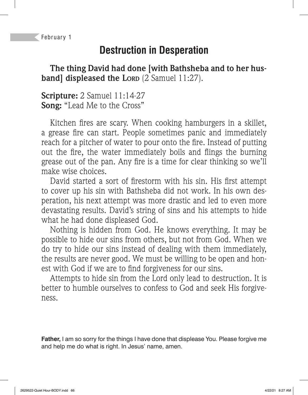February 1

# **Destruction in Desperation**

**The thing David had done [with Bathsheba and to her husband] displeased the LORD** (2 Samuel 11:27).

**Scripture:** 2 Samuel 11:14-27 **Song:** "Lead Me to the Cross"

Kitchen fires are scary. When cooking hamburgers in a skillet, a grease fire can start. People sometimes panic and immediately reach for a pitcher of water to pour onto the fire. Instead of putting out the fire, the water immediately boils and flings the burning grease out of the pan. Any fire is a time for clear thinking so we'll make wise choices.

David started a sort of firestorm with his sin. His first attempt to cover up his sin with Bathsheba did not work. In his own desperation, his next attempt was more drastic and led to even more devastating results. David's string of sins and his attempts to hide what he had done displeased God.

Nothing is hidden from God. He knows everything. It may be possible to hide our sins from others, but not from God. When we do try to hide our sins instead of dealing with them immediately, the results are never good. We must be willing to be open and honest with God if we are to find forgiveness for our sins.

Attempts to hide sin from the Lord only lead to destruction. It is better to humble ourselves to confess to God and seek His forgiveness.

**Father,** I am so sorry for the things I have done that displease You. Please forgive me and help me do what is right. In Jesus' name, amen.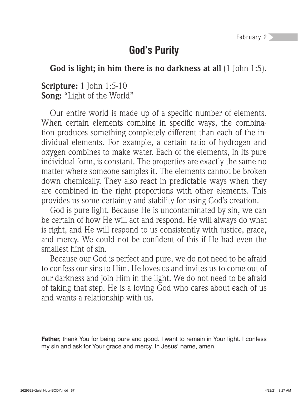#### **God's Purity**

#### **God is light; in him there is no darkness at all** (1 John 1:5).

#### **Scripture:** 1 John 1:5-10 **Song:** "Light of the World"

Our entire world is made up of a specific number of elements. When certain elements combine in specific ways, the combination produces something completely different than each of the individual elements. For example, a certain ratio of hydrogen and oxygen combines to make water. Each of the elements, in its pure individual form, is constant. The properties are exactly the same no matter where someone samples it. The elements cannot be broken down chemically. They also react in predictable ways when they are combined in the right proportions with other elements. This provides us some certainty and stability for using God's creation.

God is pure light. Because He is uncontaminated by sin, we can be certain of how He will act and respond. He will always do what is right, and He will respond to us consistently with justice, grace, and mercy. We could not be confident of this if He had even the smallest hint of sin.

Because our God is perfect and pure, we do not need to be afraid to confess our sins to Him. He loves us and invites us to come out of our darkness and join Him in the light. We do not need to be afraid of taking that step. He is a loving God who cares about each of us and wants a relationship with us.

**Father,** thank You for being pure and good. I want to remain in Your light. I confess my sin and ask for Your grace and mercy. In Jesus' name, amen.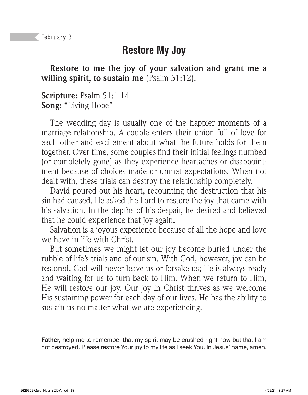### **Restore My Joy**

**Restore to me the joy of your salvation and grant me a willing spirit, to sustain me** (Psalm 51:12).

#### **Scripture:** Psalm 51:1-14 **Song:** "Living Hope"

The wedding day is usually one of the happier moments of a marriage relationship. A couple enters their union full of love for each other and excitement about what the future holds for them together. Over time, some couples find their initial feelings numbed (or completely gone) as they experience heartaches or disappointment because of choices made or unmet expectations. When not dealt with, these trials can destroy the relationship completely.

David poured out his heart, recounting the destruction that his sin had caused. He asked the Lord to restore the joy that came with his salvation. In the depths of his despair, he desired and believed that he could experience that joy again.

Salvation is a joyous experience because of all the hope and love we have in life with Christ.

But sometimes we might let our joy become buried under the rubble of life's trials and of our sin. With God, however, joy can be restored. God will never leave us or forsake us; He is always ready and waiting for us to turn back to Him. When we return to Him, He will restore our joy. Our joy in Christ thrives as we welcome His sustaining power for each day of our lives. He has the ability to sustain us no matter what we are experiencing.

**Father,** help me to remember that my spirit may be crushed right now but that I am not destroyed. Please restore Your joy to my life as I seek You. In Jesus' name, amen.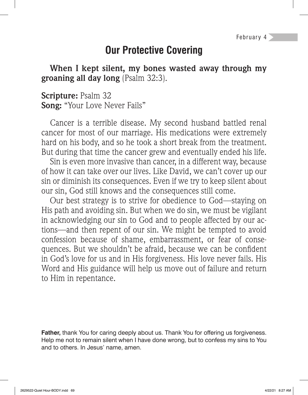# **Our Protective Covering**

**When I kept silent, my bones wasted away through my groaning all day long** (Psalm 32:3).

**Scripture:** Psalm 32 **Song:** "Your Love Never Fails"

Cancer is a terrible disease. My second husband battled renal cancer for most of our marriage. His medications were extremely hard on his body, and so he took a short break from the treatment. But during that time the cancer grew and eventually ended his life.

Sin is even more invasive than cancer, in a different way, because of how it can take over our lives. Like David, we can't cover up our sin or diminish its consequences. Even if we try to keep silent about our sin, God still knows and the consequences still come.

Our best strategy is to strive for obedience to God—staying on His path and avoiding sin. But when we do sin, we must be vigilant in acknowledging our sin to God and to people affected by our actions—and then repent of our sin. We might be tempted to avoid confession because of shame, embarrassment, or fear of consequences. But we shouldn't be afraid, because we can be confident in God's love for us and in His forgiveness. His love never fails. His Word and His guidance will help us move out of failure and return to Him in repentance.

**Father,** thank You for caring deeply about us. Thank You for offering us forgiveness. Help me not to remain silent when I have done wrong, but to confess my sins to You and to others. In Jesus' name, amen.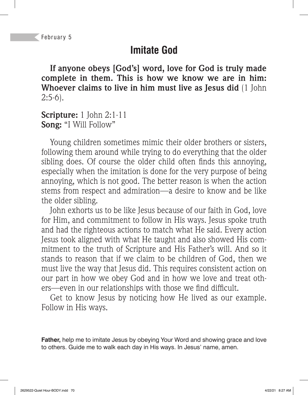## **Imitate God**

**If anyone obeys [God's] word, love for God is truly made complete in them. This is how we know we are in him: Whoever claims to live in him must live as Jesus did** (1 John  $2:5-6$ ).

**Scripture:** 1 John 2:1-11 **Song:** "I Will Follow"

Young children sometimes mimic their older brothers or sisters, following them around while trying to do everything that the older sibling does. Of course the older child often finds this annoying, especially when the imitation is done for the very purpose of being annoying, which is not good. The better reason is when the action stems from respect and admiration—a desire to know and be like the older sibling.

John exhorts us to be like Jesus because of our faith in God, love for Him, and commitment to follow in His ways. Jesus spoke truth and had the righteous actions to match what He said. Every action Jesus took aligned with what He taught and also showed His commitment to the truth of Scripture and His Father's will. And so it stands to reason that if we claim to be children of God, then we must live the way that Jesus did. This requires consistent action on our part in how we obey God and in how we love and treat others—even in our relationships with those we find difficult.

Get to know Jesus by noticing how He lived as our example. Follow in His ways.

**Father,** help me to imitate Jesus by obeying Your Word and showing grace and love to others. Guide me to walk each day in His ways. In Jesus' name, amen.